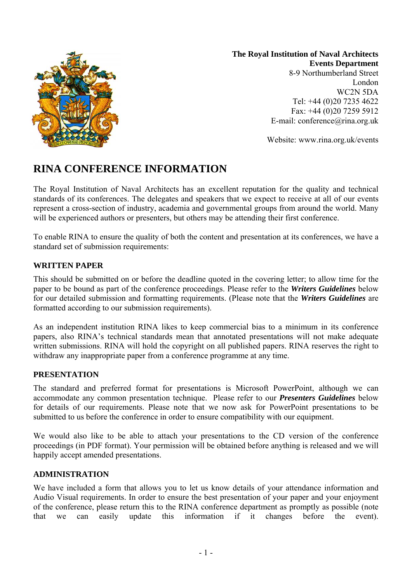

**The Royal Institution of Naval Architects Events Department**  8-9 Northumberland Street London

WC2N 5DA Tel: +44 (0)20 7235 4622 Fax: +44 (0)20 7259 5912 E-mail: conference@rina.org.uk

Website: www.rina.org.uk/events

# **RINA CONFERENCE INFORMATION**

The Royal Institution of Naval Architects has an excellent reputation for the quality and technical standards of its conferences. The delegates and speakers that we expect to receive at all of our events represent a cross-section of industry, academia and governmental groups from around the world. Many will be experienced authors or presenters, but others may be attending their first conference.

To enable RINA to ensure the quality of both the content and presentation at its conferences, we have a standard set of submission requirements:

### **WRITTEN PAPER**

This should be submitted on or before the deadline quoted in the covering letter; to allow time for the paper to be bound as part of the conference proceedings. Please refer to the *Writers Guidelines* below for our detailed submission and formatting requirements. (Please note that the *Writers Guidelines* are formatted according to our submission requirements).

As an independent institution RINA likes to keep commercial bias to a minimum in its conference papers, also RINA's technical standards mean that annotated presentations will not make adequate written submissions. RINA will hold the copyright on all published papers. RINA reserves the right to withdraw any inappropriate paper from a conference programme at any time.

#### **PRESENTATION**

The standard and preferred format for presentations is Microsoft PowerPoint, although we can accommodate any common presentation technique. Please refer to our *Presenters Guidelines* below for details of our requirements. Please note that we now ask for PowerPoint presentations to be submitted to us before the conference in order to ensure compatibility with our equipment.

We would also like to be able to attach your presentations to the CD version of the conference proceedings (in PDF format). Your permission will be obtained before anything is released and we will happily accept amended presentations.

#### **ADMINISTRATION**

We have included a form that allows you to let us know details of your attendance information and Audio Visual requirements. In order to ensure the best presentation of your paper and your enjoyment of the conference, please return this to the RINA conference department as promptly as possible (note that we can easily update this information if it changes before the event).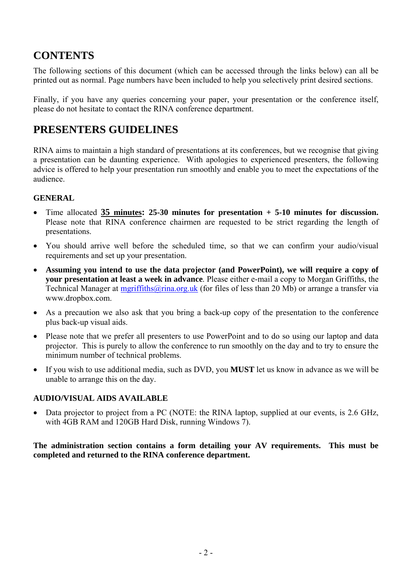# **CONTENTS**

The following sections of this document (which can be accessed through the links below) can all be printed out as normal. Page numbers have been included to help you selectively print desired sections.

Finally, if you have any queries concerning your paper, your presentation or the conference itself, please do not hesitate to contact the RINA conference department.

## **PRESENTERS GUIDELINES**

RINA aims to maintain a high standard of presentations at its conferences, but we recognise that giving a presentation can be daunting experience. With apologies to experienced presenters, the following advice is offered to help your presentation run smoothly and enable you to meet the expectations of the audience.

## **GENERAL**

- Time allocated **35 minutes: 25-30 minutes for presentation + 5-10 minutes for discussion.**  Please note that RINA conference chairmen are requested to be strict regarding the length of presentations.
- You should arrive well before the scheduled time, so that we can confirm your audio/visual requirements and set up your presentation.
- **Assuming you intend to use the data projector (and PowerPoint), we will require a copy of your presentation at least a week in advance**. Please either e-mail a copy to Morgan Griffiths, the Technical Manager at mgriffiths@rina.org.uk (for files of less than 20 Mb) or arrange a transfer via www.dropbox.com.
- As a precaution we also ask that you bring a back-up copy of the presentation to the conference plus back-up visual aids.
- Please note that we prefer all presenters to use PowerPoint and to do so using our laptop and data projector. This is purely to allow the conference to run smoothly on the day and to try to ensure the minimum number of technical problems.
- If you wish to use additional media, such as DVD, you **MUST** let us know in advance as we will be unable to arrange this on the day.

## **AUDIO/VISUAL AIDS AVAILABLE**

• Data projector to project from a PC (NOTE: the RINA laptop, supplied at our events, is 2.6 GHz, with 4GB RAM and 120GB Hard Disk, running Windows 7).

#### **The administration section contains a form detailing your AV requirements. This must be completed and returned to the RINA conference department.**